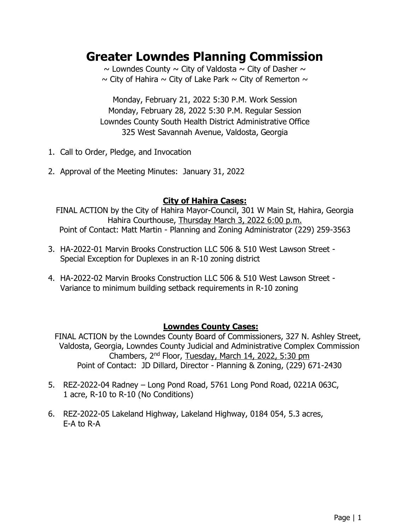# **Greater Lowndes Planning Commission**

 $\sim$  Lowndes County  $\sim$  City of Valdosta  $\sim$  City of Dasher  $\sim$  $\sim$  City of Hahira  $\sim$  City of Lake Park  $\sim$  City of Remerton  $\sim$ 

Monday, February 21, 2022 5:30 P.M. Work Session Monday, February 28, 2022 5:30 P.M. Regular Session Lowndes County South Health District Administrative Office 325 West Savannah Avenue, Valdosta, Georgia

- 1. Call to Order, Pledge, and Invocation
- 2. Approval of the Meeting Minutes: January 31, 2022

## **City of Hahira Cases:**

FINAL ACTION by the City of Hahira Mayor-Council, 301 W Main St, Hahira, Georgia Hahira Courthouse, Thursday March 3, 2022 6:00 p.m. Point of Contact: Matt Martin - Planning and Zoning Administrator (229) 259-3563

- 3. HA-2022-01 Marvin Brooks Construction LLC 506 & 510 West Lawson Street Special Exception for Duplexes in an R-10 zoning district
- 4. HA-2022-02 Marvin Brooks Construction LLC 506 & 510 West Lawson Street Variance to minimum building setback requirements in R-10 zoning

# **Lowndes County Cases:**

FINAL ACTION by the Lowndes County Board of Commissioners, 327 N. Ashley Street, Valdosta, Georgia, Lowndes County Judicial and Administrative Complex Commission Chambers, 2nd Floor, Tuesday, March 14, 2022, 5:30 pm Point of Contact: JD Dillard, Director - Planning & Zoning, (229) 671-2430

- 5. REZ-2022-04 Radney Long Pond Road, 5761 Long Pond Road, 0221A 063C, 1 acre, R-10 to R-10 (No Conditions)
- 6. REZ-2022-05 Lakeland Highway, Lakeland Highway, 0184 054, 5.3 acres, E-A to R-A